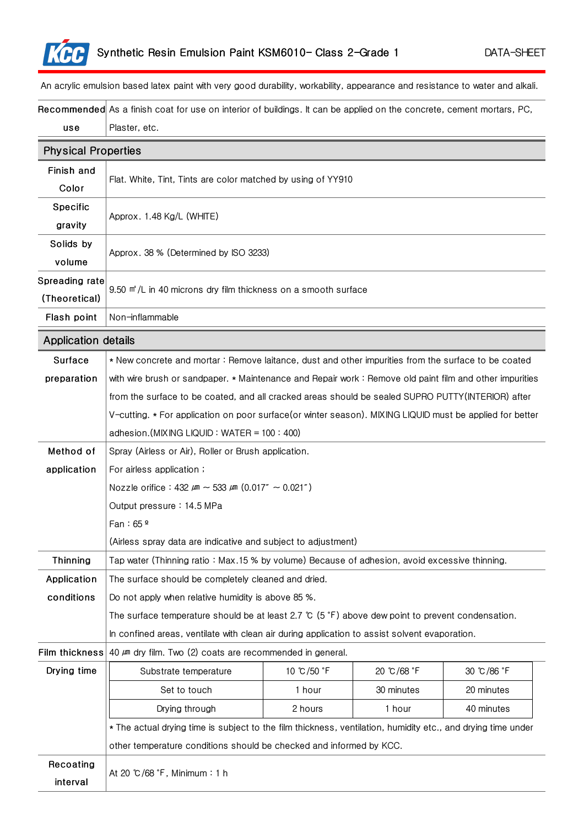

An acrylic emulsion based latex paint with very good durability, workability, appearance and resistance to water and alkali.

Recommended As a finish coat for use on interior of buildings. It can be applied on the concrete, cement mortars, PC, use Plaster, etc.

| <b>Physical Properties</b> |                                                                                                                   |            |            |            |  |
|----------------------------|-------------------------------------------------------------------------------------------------------------------|------------|------------|------------|--|
| Finish and                 | Flat. White, Tint, Tints are color matched by using of YY910                                                      |            |            |            |  |
| Color                      |                                                                                                                   |            |            |            |  |
| Specific                   | Approx. 1.48 Kg/L (WHITE)                                                                                         |            |            |            |  |
| gravity                    |                                                                                                                   |            |            |            |  |
| Solids by                  | Approx. 38 % (Determined by ISO 3233)                                                                             |            |            |            |  |
| volume                     |                                                                                                                   |            |            |            |  |
| Spreading rate             | 9.50 m <sup>a</sup> /L in 40 microns dry film thickness on a smooth surface                                       |            |            |            |  |
| (Theoretical)              |                                                                                                                   |            |            |            |  |
| Flash point                | Non-inflammable                                                                                                   |            |            |            |  |
| <b>Application details</b> |                                                                                                                   |            |            |            |  |
| Surface                    | * New concrete and mortar: Remove laitance, dust and other impurities from the surface to be coated               |            |            |            |  |
| preparation                | with wire brush or sandpaper. * Maintenance and Repair work: Remove old paint film and other impurities           |            |            |            |  |
|                            | from the surface to be coated, and all cracked areas should be sealed SUPRO PUTTY (INTERIOR) after                |            |            |            |  |
|                            | V-cutting. * For application on poor surface(or winter season). MIXING LIQUID must be applied for better          |            |            |            |  |
|                            | adhesion.(MIXING LIQUID: WATER = $100:400$ )                                                                      |            |            |            |  |
| Method of                  | Spray (Airless or Air), Roller or Brush application.                                                              |            |            |            |  |
| application                | For airless application;                                                                                          |            |            |            |  |
|                            | Nozzle orifice: $432 \mu m \sim 533 \mu m (0.017'' \sim 0.021'')$                                                 |            |            |            |  |
|                            | Output pressure: 14.5 MPa                                                                                         |            |            |            |  |
|                            | Fan: $65°$                                                                                                        |            |            |            |  |
|                            | (Airless spray data are indicative and subject to adjustment)                                                     |            |            |            |  |
| Thinning                   | Tap water (Thinning ratio: Max.15 % by volume) Because of adhesion, avoid excessive thinning.                     |            |            |            |  |
| Application                | The surface should be completely cleaned and dried.                                                               |            |            |            |  |
| conditions                 | Do not apply when relative humidity is above 85 %.                                                                |            |            |            |  |
|                            | The surface temperature should be at least 2.7 $\degree$ (5 $\degree$ F) above dew point to prevent condensation. |            |            |            |  |
|                            | In confined areas, ventilate with clean air during application to assist solvent evaporation.                     |            |            |            |  |
| Film thickness             | 40 $\mu$ m dry film. Two (2) coats are recommended in general.                                                    |            |            |            |  |
| Drying time                | Substrate temperature                                                                                             | 10 ℃/50 °F | 20 ℃/68 °F | 30 ℃/86 °F |  |
|                            | Set to touch                                                                                                      | 1 hour     | 30 minutes | 20 minutes |  |
|                            | Drying through                                                                                                    | 2 hours    | 1 hour     | 40 minutes |  |
|                            | * The actual drying time is subject to the film thickness, ventilation, humidity etc., and drying time under      |            |            |            |  |
|                            | other temperature conditions should be checked and informed by KCC.                                               |            |            |            |  |
| Recoating                  | At 20 ℃/68 °F, Minimum: 1 h                                                                                       |            |            |            |  |
| interval                   |                                                                                                                   |            |            |            |  |